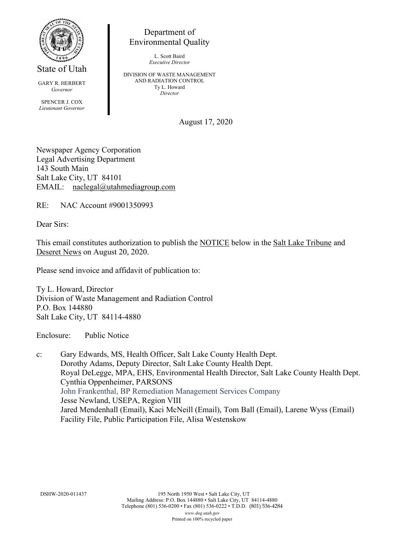

State of Utah

GARY R. HERBERT *Governor* SPENCER J. COX *Lieutenant Governor*

Department of Environmental Quality

> L. Scott Baird *Executive Director*

DIVISION OF WASTE MANAGEMENT AND RADIATION CONTROL Ty L. Howard *Director*

August 17, 2020

Newspaper Agency Corporation Legal Advertising Department 143 South Main Salt Lake City, UT 84101 EMAIL: naclegal@utahmediagroup.com

RE: NAC Account #9001350993

Dear Sirs:

This email constitutes authorization to publish the NOTICE below in the Salt Lake Tribune and Deseret News on August 20, 2020.

Please send invoice and affidavit of publication to:

Ty L. Howard, Director Division of Waste Management and Radiation Control P.O. Box 144880 Salt Lake City, UT 84114-4880

Enclosure: Public Notice

c: Gary Edwards, MS, Health Officer, Salt Lake County Health Dept. Dorothy Adams, Deputy Director, Salt Lake County Health Dept. Royal DeLegge, MPA, EHS, Environmental Health Director, Salt Lake County Health Dept. Cynthia Oppenheimer, PARSONS John Frankenthal, BP Remediation Management Services Company Jesse Newland, USEPA, Region VIII Jared Mendenhall (Email), Kaci McNeill (Email), Tom Ball (Email), Larene Wyss (Email) Facility File, Public Participation File, Alisa Westenskow